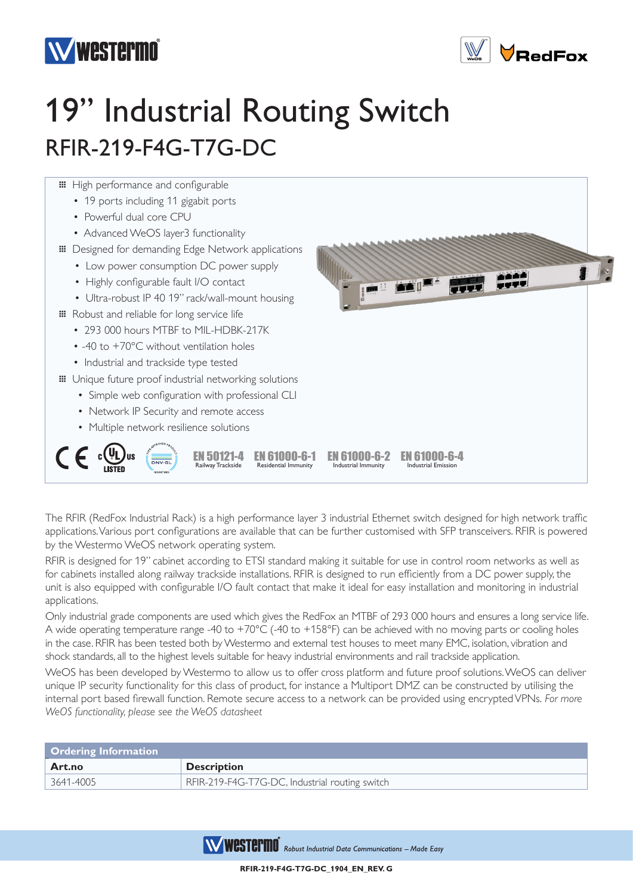



## 19" Industrial Routing Switch RFIR-219-F4G-T7G-DC



The RFIR (RedFox Industrial Rack) is a high performance layer 3 industrial Ethernet switch designed for high network traffic applications. Various port configurations are available that can be further customised with SFP transceivers. RFIR is powered by the Westermo WeOS network operating system.

RFIR is designed for 19" cabinet according to ETSI standard making it suitable for use in control room networks as well as for cabinets installed along railway trackside installations. RFIR is designed to run efficiently from a DC power supply, the unit is also equipped with configurable I/O fault contact that make it ideal for easy installation and monitoring in industrial applications.

Only industrial grade components are used which gives the RedFox an MTBF of 293 000 hours and ensures a long service life. A wide operating temperature range -40 to +70°C (-40 to +158°F) can be achieved with no moving parts or cooling holes in the case. RFIR has been tested both by Westermo and external test houses to meet many EMC, isolation, vibration and shock standards, all to the highest levels suitable for heavy industrial environments and rail trackside application.

WeOS has been developed by Westermo to allow us to offer cross platform and future proof solutions. WeOS can deliver unique IP security functionality for this class of product, for instance a Multiport DMZ can be constructed by utilising the internal port based firewall function. Remote secure access to a network can be provided using encrypted VPNs. *For more WeOS functionality, please see the WeOS datasheet*

| <b>Ordering Information</b> |                                                |  |
|-----------------------------|------------------------------------------------|--|
| Art.no                      | <b>Description</b>                             |  |
| 3641-4005                   | RFIR-219-F4G-T7G-DC, Industrial routing switch |  |